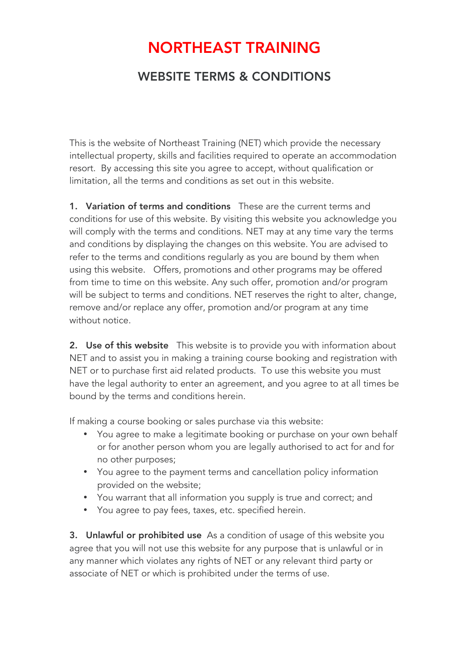## NORTHEAST TRAINING

## WEBSITE TERMS & CONDITIONS

This is the website of Northeast Training (NET) which provide the necessary intellectual property, skills and facilities required to operate an accommodation resort. By accessing this site you agree to accept, without qualification or limitation, all the terms and conditions as set out in this website.

**1. Variation of terms and conditions** These are the current terms and conditions for use of this website. By visiting this website you acknowledge you will comply with the terms and conditions. NET may at any time vary the terms and conditions by displaying the changes on this website. You are advised to refer to the terms and conditions regularly as you are bound by them when using this website. Offers, promotions and other programs may be offered from time to time on this website. Any such offer, promotion and/or program will be subject to terms and conditions. NET reserves the right to alter, change, remove and/or replace any offer, promotion and/or program at any time without notice.

2. Use of this website This website is to provide you with information about NET and to assist you in making a training course booking and registration with NET or to purchase first aid related products. To use this website you must have the legal authority to enter an agreement, and you agree to at all times be bound by the terms and conditions herein.

If making a course booking or sales purchase via this website:

- You agree to make a legitimate booking or purchase on your own behalf or for another person whom you are legally authorised to act for and for no other purposes;
- You agree to the payment terms and cancellation policy information provided on the website;
- You warrant that all information you supply is true and correct; and
- You agree to pay fees, taxes, etc. specified herein.

3. Unlawful or prohibited use As a condition of usage of this website you agree that you will not use this website for any purpose that is unlawful or in any manner which violates any rights of NET or any relevant third party or associate of NET or which is prohibited under the terms of use.